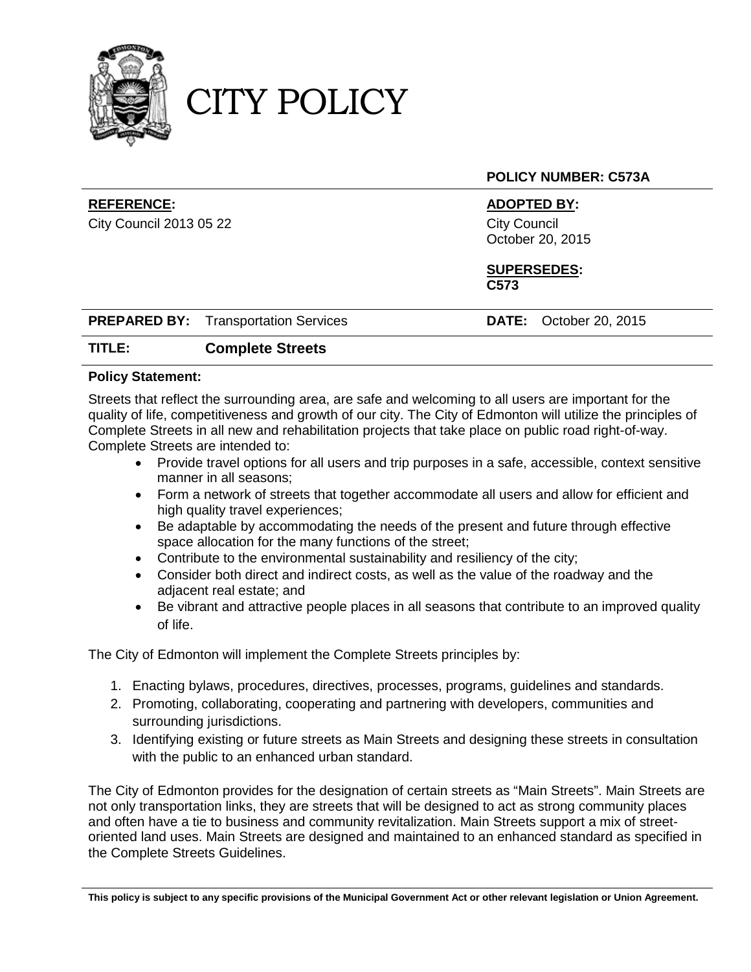

CITY POLICY

## **POLICY NUMBER: C573A**

## **REFERENCE: ADOPTED BY:**

City Council 2013 05 22 City Council October 20, 2015

#### **SUPERSEDES: C573**

| <b>PREPARED BY:</b> Transportation Services |  | <b>DATE</b> |
|---------------------------------------------|--|-------------|
|---------------------------------------------|--|-------------|

**PREPARED BY:** Transportation Services **DATE:** October 20, 2015

# **TITLE: Complete Streets**

### **Policy Statement:**

Streets that reflect the surrounding area, are safe and welcoming to all users are important for the quality of life, competitiveness and growth of our city. The City of Edmonton will utilize the principles of Complete Streets in all new and rehabilitation projects that take place on public road right-of-way. Complete Streets are intended to:

- Provide travel options for all users and trip purposes in a safe, accessible, context sensitive manner in all seasons;
- Form a network of streets that together accommodate all users and allow for efficient and high quality travel experiences;
- Be adaptable by accommodating the needs of the present and future through effective space allocation for the many functions of the street;
- Contribute to the environmental sustainability and resiliency of the city;
- Consider both direct and indirect costs, as well as the value of the roadway and the adjacent real estate; and
- Be vibrant and attractive people places in all seasons that contribute to an improved quality of life.

The City of Edmonton will implement the Complete Streets principles by:

- 1. Enacting bylaws, procedures, directives, processes, programs, guidelines and standards.
- 2. Promoting, collaborating, cooperating and partnering with developers, communities and surrounding jurisdictions.
- 3. Identifying existing or future streets as Main Streets and designing these streets in consultation with the public to an enhanced urban standard.

The City of Edmonton provides for the designation of certain streets as "Main Streets". Main Streets are not only transportation links, they are streets that will be designed to act as strong community places and often have a tie to business and community revitalization. Main Streets support a mix of streetoriented land uses. Main Streets are designed and maintained to an enhanced standard as specified in the Complete Streets Guidelines.

**This policy is subject to any specific provisions of the Municipal Government Act or other relevant legislation or Union Agreement.**